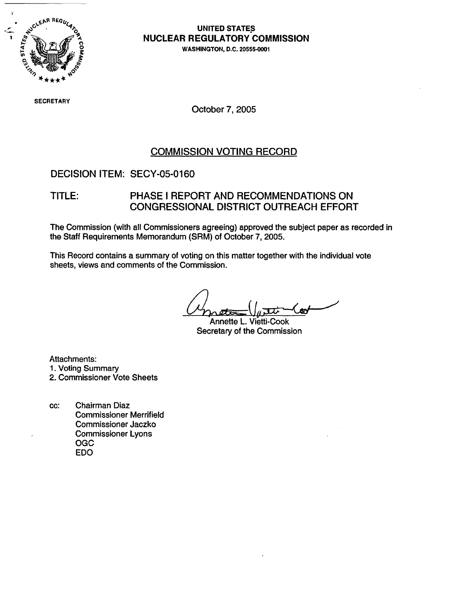

# **NUCLEAR REGULATORY COMMISSION**

**0** WASHINGTON, D.C. **20555-0001**

SECRETAR

October 7, 2005

#### COMMISSION VOTING RECORD

#### DECISION ITEM: SECY-05-0160

#### TITLE: PHASE I REPORT AND RECOMMENDATIONS ON CONGRESSIONAL DISTRICT OUTREACH EFFORT

The Commission (with all Commissioners agreeing) approved the subject paper as recorded in the Staff Requirements Memorandum (SRM) of October 7, 2005.

This Record contains a summary of voting on this matter together with the individual vote sheets, views and comments of the Commission.

بہم )

Annette L. Vietti-Cook Secretary of the Commission

Attachments:

- 1. Voting Summary
- 2. Commissioner Vote Sheets
- cc: Chairman Diaz Commissioner Merrifield Commissioner Jaczko Commissioner Lyons OGC EDO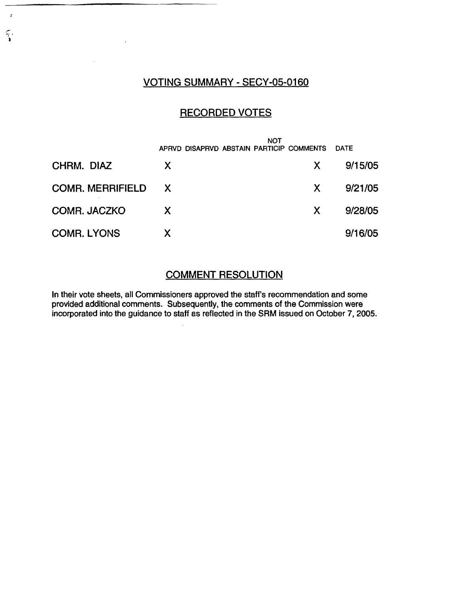#### VOTING SUMMARY - SECY-05-0160

 $\ddot{ }$ 

 $\widetilde{\gamma}$ 

#### RECORDED VOTES

|                         | APRVD DISAPRVD ABSTAIN PARTICIP COMMENTS | NOT          | <b>DATE</b> |
|-------------------------|------------------------------------------|--------------|-------------|
| CHRM. DIAZ              | $\boldsymbol{\mathsf{X}}$                | $\mathsf{X}$ | 9/15/05     |
| <b>COMR. MERRIFIELD</b> | $\mathsf{X}$                             | X.           | 9/21/05     |
| COMR. JACZKO            | $\mathsf{X}$                             | X.           | 9/28/05     |
| <b>COMR. LYONS</b>      | Χ                                        |              | 9/16/05     |

## COMMENT RESOLUTION

In their vote sheets, all Commissioners approved the staff's recommendation and some provided additional comments. Subsequently, the comments of the Commission were incorporated into the guidance to staff as reflected in the SRM issued on October 7, 2005.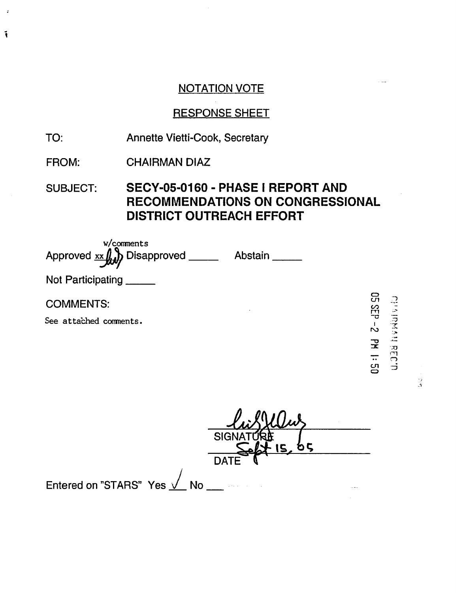## NOTATION VOTE

# RESPONSE SHEET

- TO: Annette Vietti-Cook, Secretary
- FROM: CHAIRMAN DIAZ

 $\ddot{\cdot}$ 

 $\tilde{\mathbf{I}}$ 

SUBJECT: SECY-05-0160 - PHASE I REPORT AND RECOMMENDATIONS ON CONGRESSIONAL DISTRICT OUTREACH EFFORT

w/comments Approved xx (, ) Disapproved \_\_\_\_\_ Abstain Not Participating \_\_\_\_\_ COMMENTS: See attached coments.

C)

|                                    | <b>SIGN/</b> |  |
|------------------------------------|--------------|--|
|                                    | <b>DATE</b>  |  |
| Entered on "STARS" Yes <u>√</u> No |              |  |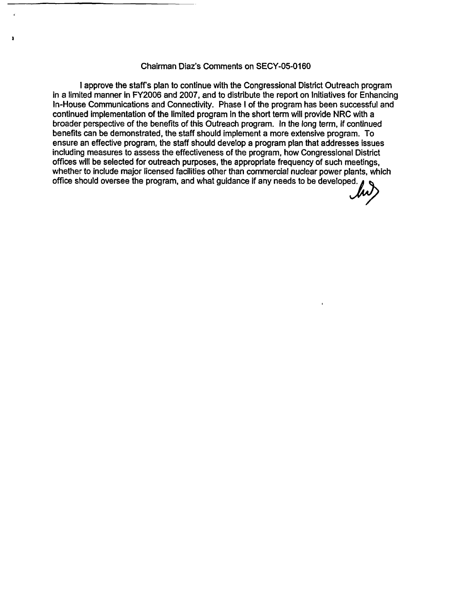#### Chairman Diaz's Comments on SECY-05-0160

I approve the staff's plan to continue with the Congressional District Outreach program in a limited manner in FY2006 and 2007, and to distribute the report on Initiatives for Enhancing In-House Communications and Connectivity. Phase I of the program has been successful and continued implementation of the limited program in the short term will provide NRC with a broader perspective of the benefits of this Outreach program. In the long term, if continued benefits can be demonstrated, the staff should implement a more extensive program. To ensure an effective program, the staff should develop a program plan that addresses issues including measures to assess the effectiveness of the program, how Congressional District offices will be selected for outreach purposes, the appropriate frequency of such meetings, whether to include major licensed facilities other than commercial nuclear power plants, which office should oversee the program, and what guidance if any needs to be developed.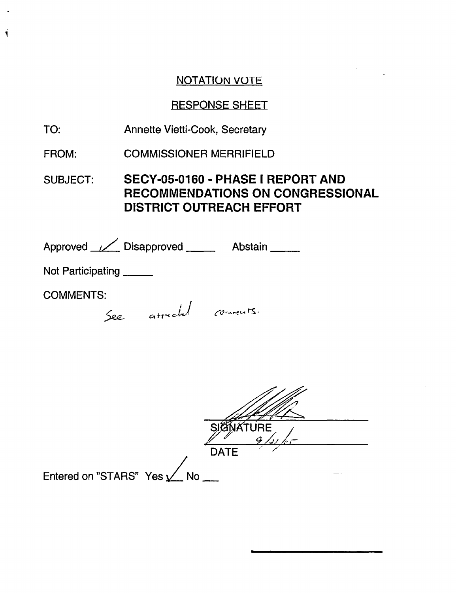## NOTATION VOTE

#### RESPONSE SHEET

- TO: Annette Vietti-Cook, Secretary
- FROM: COMMISSIONER MERRIFIELD

SUBJECT: SECY-05-0160 - PHASE I REPORT AND RECOMMENDATIONS ON CONGRESSIONAL DISTRICT OUTREACH EFFORT

Approved // Disapproved **Abstain** 

Not Participating

COMMENTS:

 $\ddot{\mathbf{I}}$ 

See attached comments.

|                           | <b>DATE</b> |
|---------------------------|-------------|
| Entered on "STARS" Yes Mo |             |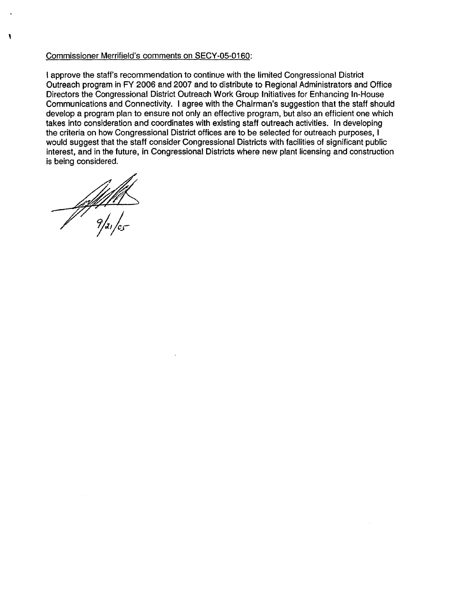#### Commissioner Merrifield's comments on SECY-05-0160:

I approve the staff's recommendation to continue with the limited Congressional District Outreach program in FY 2006 and 2007 and to distribute to Regional Administrators and Office Directors the Congressional District Outreach Work Group Initiatives for Enhancing In-House Communications and Connectivity. I agree with the Chairman's suggestion that the staff should develop a program plan to ensure not only an effective program, but also an efficient one which takes into consideration and coordinates with existing staff outreach activities. In developing the criteria on how Congressional District offices are to be selected for outreach purposes, I would suggest that the staff consider Congressional Districts with facilities of significant public interest, and in the future, in Congressional Districts where new plant licensing and construction is being considered.

 $\frac{1}{\sqrt{2}}$ 

 $\mathbf{I}$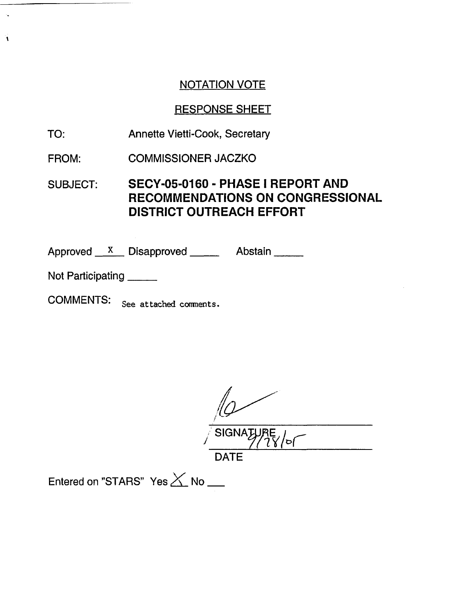## NOTATION VOTE

# RESPONSE SHEET

- TO: Annette Vietti-Cook, Secretary
- FROM: COMMISSIONER JACZKO

# SUBJECT: SECY-05-0160 - PHASE I REPORT AND RECOMMENDATIONS ON CONGRESSIONAL DISTRICT OUTREACH EFFORT

Approved X Disapproved Abstain

Not Participating \_\_\_\_\_\_

À

COMMENTS: See attached comnents.

SIGNATU / 1S/ **/f** DATE

Entered on "STARS" Yes X No \_\_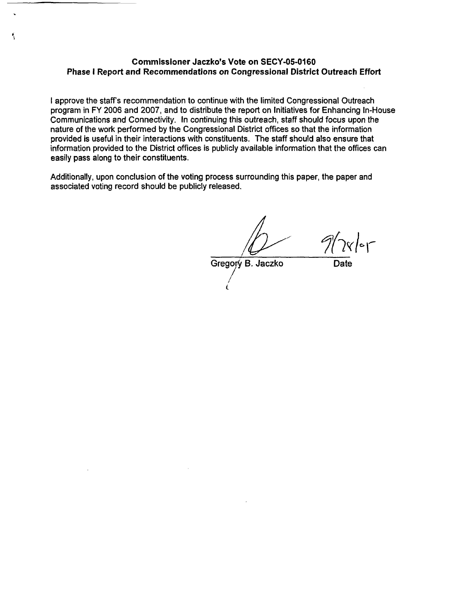#### **Commissioner Jaczko's Vote on SECY-05-0160 Phase I Report and Recommendations on Congressional District Outreach Effort**

۹

I approve the staff's recommendation to continue with the limited Congressional Outreach program in FY 2006 and 2007, and to distribute the report on Initiatives for Enhancing In-House Communications and Connectivity. In continuing this outreach, staff should focus upon the nature of the work performed by the Congressional District offices so that the information provided is useful in their interactions with constituents. The staff should also ensure that information provided to the District offices is publicly available information that the offices can easily pass along to their constituents.

Additionally, upon conclusion of the voting process surrounding this paper, the paper and associated voting record should be publicly released.

 $9/\gamma$ 

Gregory B. Jaczko Date